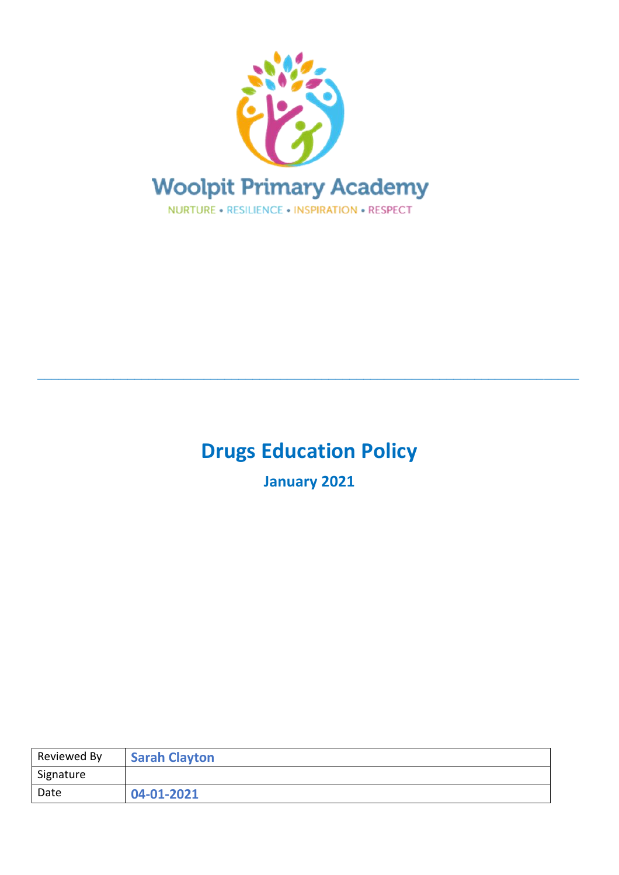

# **Drugs Education Policy**

**\_\_\_\_\_\_\_\_\_\_\_\_\_\_\_\_\_\_\_\_\_\_\_\_\_\_\_\_\_\_\_\_\_\_\_\_\_\_\_\_\_\_\_\_\_\_\_\_\_\_\_\_\_\_\_\_\_\_\_\_\_\_\_\_\_\_\_\_\_\_\_\_\_\_\_\_\_\_**

**January 2021**

| Reviewed By | <b>Sarah Clayton</b> |
|-------------|----------------------|
| Signature   |                      |
| Date        | 04-01-2021           |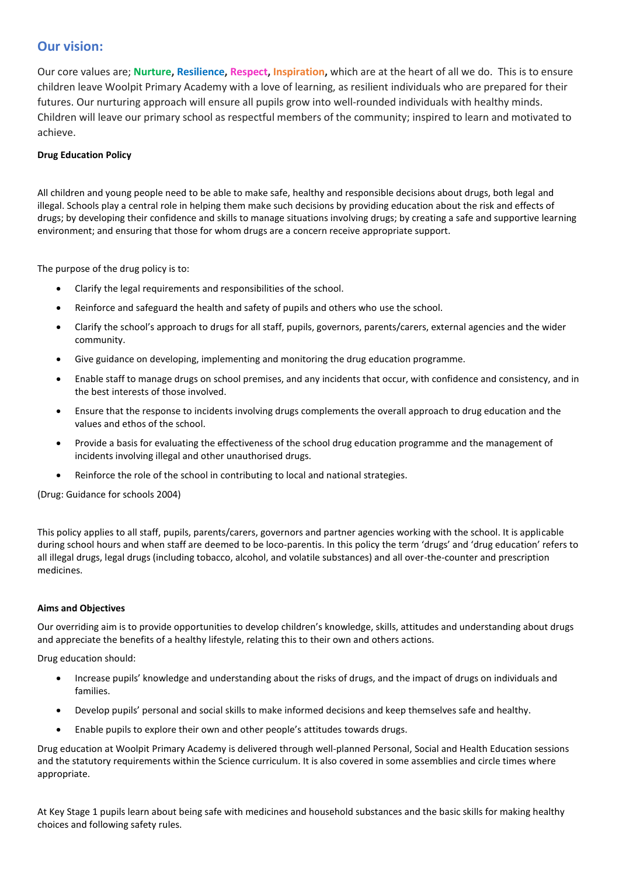## **Our vision:**

Our core values are; **Nurture, Resilience, Respect, Inspiration,** which are at the heart of all we do. This is to ensure children leave Woolpit Primary Academy with a love of learning, as resilient individuals who are prepared for their futures. Our nurturing approach will ensure all pupils grow into well-rounded individuals with healthy minds. Children will leave our primary school as respectful members of the community; inspired to learn and motivated to achieve.

### **Drug Education Policy**

All children and young people need to be able to make safe, healthy and responsible decisions about drugs, both legal and illegal. Schools play a central role in helping them make such decisions by providing education about the risk and effects of drugs; by developing their confidence and skills to manage situations involving drugs; by creating a safe and supportive learning environment; and ensuring that those for whom drugs are a concern receive appropriate support.

The purpose of the drug policy is to:

- Clarify the legal requirements and responsibilities of the school.
- Reinforce and safeguard the health and safety of pupils and others who use the school.
- Clarify the school's approach to drugs for all staff, pupils, governors, parents/carers, external agencies and the wider community.
- Give guidance on developing, implementing and monitoring the drug education programme.
- Enable staff to manage drugs on school premises, and any incidents that occur, with confidence and consistency, and in the best interests of those involved.
- Ensure that the response to incidents involving drugs complements the overall approach to drug education and the values and ethos of the school.
- Provide a basis for evaluating the effectiveness of the school drug education programme and the management of incidents involving illegal and other unauthorised drugs.
- Reinforce the role of the school in contributing to local and national strategies.

(Drug: Guidance for schools 2004)

This policy applies to all staff, pupils, parents/carers, governors and partner agencies working with the school. It is applicable during school hours and when staff are deemed to be loco-parentis. In this policy the term 'drugs' and 'drug education' refers to all illegal drugs, legal drugs (including tobacco, alcohol, and volatile substances) and all over-the-counter and prescription medicines.

#### **Aims and Objectives**

Our overriding aim is to provide opportunities to develop children's knowledge, skills, attitudes and understanding about drugs and appreciate the benefits of a healthy lifestyle, relating this to their own and others actions.

Drug education should:

- Increase pupils' knowledge and understanding about the risks of drugs, and the impact of drugs on individuals and families.
- Develop pupils' personal and social skills to make informed decisions and keep themselves safe and healthy.
- Enable pupils to explore their own and other people's attitudes towards drugs.

Drug education at Woolpit Primary Academy is delivered through well-planned Personal, Social and Health Education sessions and the statutory requirements within the Science curriculum. It is also covered in some assemblies and circle times where appropriate.

At Key Stage 1 pupils learn about being safe with medicines and household substances and the basic skills for making healthy choices and following safety rules.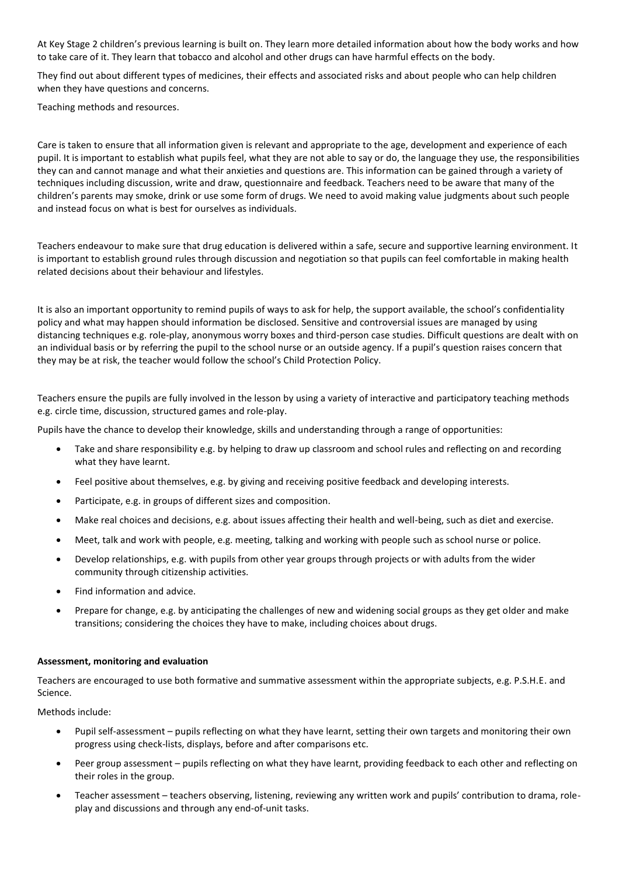At Key Stage 2 children's previous learning is built on. They learn more detailed information about how the body works and how to take care of it. They learn that tobacco and alcohol and other drugs can have harmful effects on the body.

They find out about different types of medicines, their effects and associated risks and about people who can help children when they have questions and concerns.

Teaching methods and resources.

Care is taken to ensure that all information given is relevant and appropriate to the age, development and experience of each pupil. It is important to establish what pupils feel, what they are not able to say or do, the language they use, the responsibilities they can and cannot manage and what their anxieties and questions are. This information can be gained through a variety of techniques including discussion, write and draw, questionnaire and feedback. Teachers need to be aware that many of the children's parents may smoke, drink or use some form of drugs. We need to avoid making value judgments about such people and instead focus on what is best for ourselves as individuals.

Teachers endeavour to make sure that drug education is delivered within a safe, secure and supportive learning environment. It is important to establish ground rules through discussion and negotiation so that pupils can feel comfortable in making health related decisions about their behaviour and lifestyles.

It is also an important opportunity to remind pupils of ways to ask for help, the support available, the school's confidentiality policy and what may happen should information be disclosed. Sensitive and controversial issues are managed by using distancing techniques e.g. role-play, anonymous worry boxes and third-person case studies. Difficult questions are dealt with on an individual basis or by referring the pupil to the school nurse or an outside agency. If a pupil's question raises concern that they may be at risk, the teacher would follow the school's Child Protection Policy.

Teachers ensure the pupils are fully involved in the lesson by using a variety of interactive and participatory teaching methods e.g. circle time, discussion, structured games and role-play.

Pupils have the chance to develop their knowledge, skills and understanding through a range of opportunities:

- Take and share responsibility e.g. by helping to draw up classroom and school rules and reflecting on and recording what they have learnt.
- Feel positive about themselves, e.g. by giving and receiving positive feedback and developing interests.
- Participate, e.g. in groups of different sizes and composition.
- Make real choices and decisions, e.g. about issues affecting their health and well-being, such as diet and exercise.
- Meet, talk and work with people, e.g. meeting, talking and working with people such as school nurse or police.
- Develop relationships, e.g. with pupils from other year groups through projects or with adults from the wider community through citizenship activities.
- Find information and advice.
- Prepare for change, e.g. by anticipating the challenges of new and widening social groups as they get older and make transitions; considering the choices they have to make, including choices about drugs.

#### **Assessment, monitoring and evaluation**

Teachers are encouraged to use both formative and summative assessment within the appropriate subjects, e.g. P.S.H.E. and Science.

Methods include:

- Pupil self-assessment pupils reflecting on what they have learnt, setting their own targets and monitoring their own progress using check-lists, displays, before and after comparisons etc.
- Peer group assessment pupils reflecting on what they have learnt, providing feedback to each other and reflecting on their roles in the group.
- Teacher assessment teachers observing, listening, reviewing any written work and pupils' contribution to drama, roleplay and discussions and through any end-of-unit tasks.